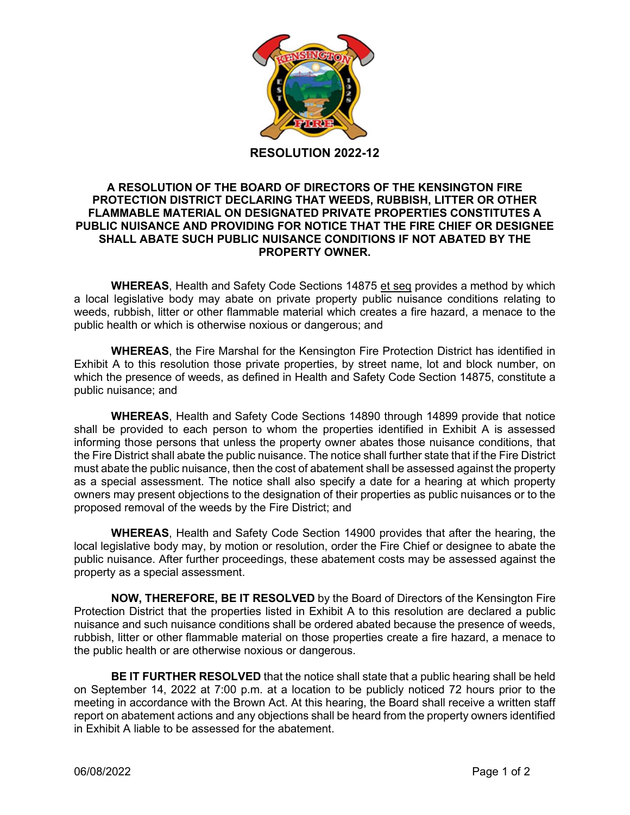

#### **A RESOLUTION OF THE BOARD OF DIRECTORS OF THE KENSINGTON FIRE PROTECTION DISTRICT DECLARING THAT WEEDS, RUBBISH, LITTER OR OTHER FLAMMABLE MATERIAL ON DESIGNATED PRIVATE PROPERTIES CONSTITUTES A PUBLIC NUISANCE AND PROVIDING FOR NOTICE THAT THE FIRE CHIEF OR DESIGNEE SHALL ABATE SUCH PUBLIC NUISANCE CONDITIONS IF NOT ABATED BY THE PROPERTY OWNER.**

**WHEREAS**, Health and Safety Code Sections 14875 et seq provides a method by which a local legislative body may abate on private property public nuisance conditions relating to weeds, rubbish, litter or other flammable material which creates a fire hazard, a menace to the public health or which is otherwise noxious or dangerous; and

**WHEREAS**, the Fire Marshal for the Kensington Fire Protection District has identified in Exhibit A to this resolution those private properties, by street name, lot and block number, on which the presence of weeds, as defined in Health and Safety Code Section 14875, constitute a public nuisance; and

**WHEREAS**, Health and Safety Code Sections 14890 through 14899 provide that notice shall be provided to each person to whom the properties identified in Exhibit A is assessed informing those persons that unless the property owner abates those nuisance conditions, that the Fire District shall abate the public nuisance. The notice shall further state that if the Fire District must abate the public nuisance, then the cost of abatement shall be assessed against the property as a special assessment. The notice shall also specify a date for a hearing at which property owners may present objections to the designation of their properties as public nuisances or to the proposed removal of the weeds by the Fire District; and

**WHEREAS**, Health and Safety Code Section 14900 provides that after the hearing, the local legislative body may, by motion or resolution, order the Fire Chief or designee to abate the public nuisance. After further proceedings, these abatement costs may be assessed against the property as a special assessment.

**NOW, THEREFORE, BE IT RESOLVED** by the Board of Directors of the Kensington Fire Protection District that the properties listed in Exhibit A to this resolution are declared a public nuisance and such nuisance conditions shall be ordered abated because the presence of weeds, rubbish, litter or other flammable material on those properties create a fire hazard, a menace to the public health or are otherwise noxious or dangerous.

**BE IT FURTHER RESOLVED** that the notice shall state that a public hearing shall be held on September 14, 2022 at 7:00 p.m. at a location to be publicly noticed 72 hours prior to the meeting in accordance with the Brown Act. At this hearing, the Board shall receive a written staff report on abatement actions and any objections shall be heard from the property owners identified in Exhibit A liable to be assessed for the abatement.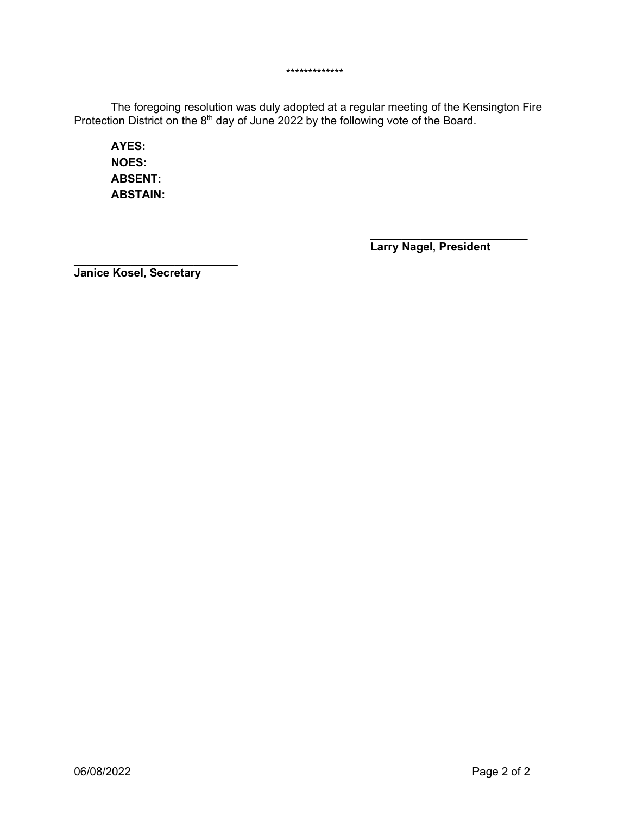The foregoing resolution was duly adopted at a regular meeting of the Kensington Fire Protection District on the  $8<sup>th</sup>$  day of June 2022 by the following vote of the Board.

\*\*\*\*\*\*\*\*\*\*\*\*\*

**AYES: NOES: ABSENT: ABSTAIN:**

> $\overline{\phantom{a}}$  , where  $\overline{\phantom{a}}$  , where  $\overline{\phantom{a}}$  , where  $\overline{\phantom{a}}$ **Larry Nagel, President**

 $\overline{\phantom{a}}$  , which is a set of the set of the set of the set of the set of the set of the set of the set of the set of the set of the set of the set of the set of the set of the set of the set of the set of the set of th **Janice Kosel, Secretary**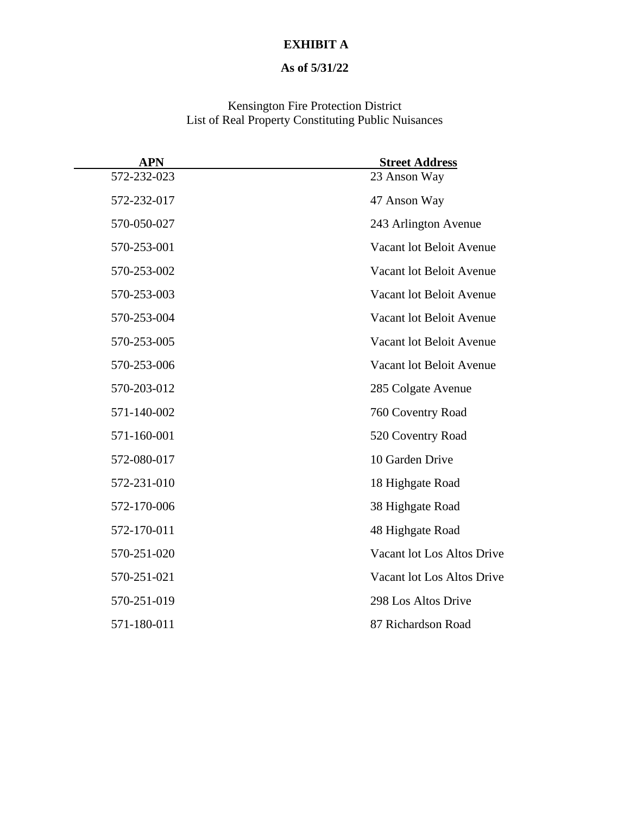## **EXHIBIT A**

## **As of 5/31/22**

Kensington Fire Protection District List of Real Property Constituting Public Nuisances

| <b>APN</b>  | <b>Street Address</b>      |
|-------------|----------------------------|
| 572-232-023 | 23 Anson Way               |
| 572-232-017 | 47 Anson Way               |
| 570-050-027 | 243 Arlington Avenue       |
| 570-253-001 | Vacant lot Beloit Avenue   |
| 570-253-002 | Vacant lot Beloit Avenue   |
| 570-253-003 | Vacant lot Beloit Avenue   |
| 570-253-004 | Vacant lot Beloit Avenue   |
| 570-253-005 | Vacant lot Beloit Avenue   |
| 570-253-006 | Vacant lot Beloit Avenue   |
| 570-203-012 | 285 Colgate Avenue         |
| 571-140-002 | 760 Coventry Road          |
| 571-160-001 | 520 Coventry Road          |
| 572-080-017 | 10 Garden Drive            |
| 572-231-010 | 18 Highgate Road           |
| 572-170-006 | 38 Highgate Road           |
| 572-170-011 | 48 Highgate Road           |
| 570-251-020 | Vacant lot Los Altos Drive |
| 570-251-021 | Vacant lot Los Altos Drive |
| 570-251-019 | 298 Los Altos Drive        |
| 571-180-011 | 87 Richardson Road         |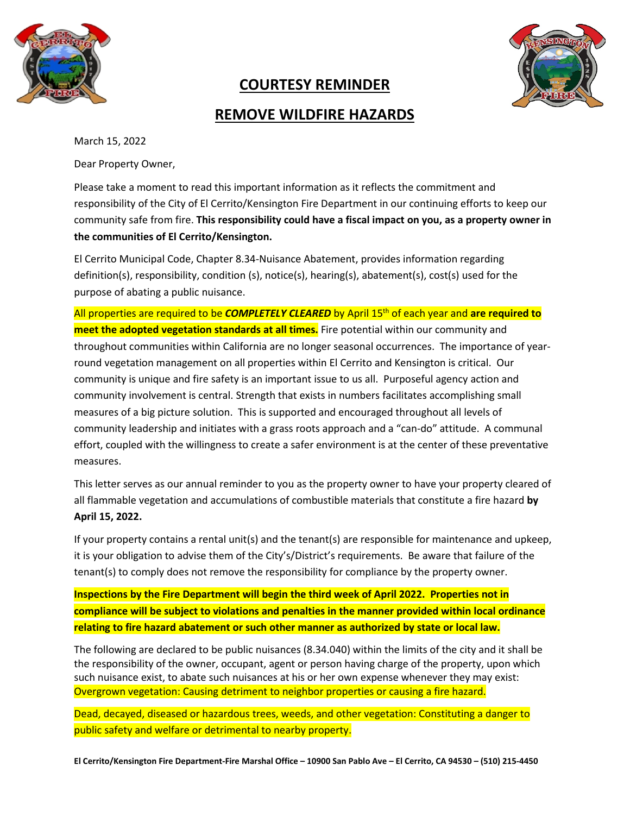

# **COURTESY REMINDER**

# **REMOVE WILDFIRE HAZARDS**

March 15, 2022

Dear Property Owner,

Please take a moment to read this important information as it reflects the commitment and responsibility of the City of El Cerrito/Kensington Fire Department in our continuing efforts to keep our community safe from fire. **This responsibility could have a fiscal impact on you, as a property owner in the communities of El Cerrito/Kensington.**

El Cerrito Municipal Code, Chapter 8.34-Nuisance Abatement, provides information regarding definition(s), responsibility, condition (s), notice(s), hearing(s), abatement(s), cost(s) used for the purpose of abating a public nuisance.

All properties are required to be *COMPLETELY CLEARED* by April 15th of each year and **are required to meet the adopted vegetation standards at all times.** Fire potential within our community and throughout communities within California are no longer seasonal occurrences. The importance of yearround vegetation management on all properties within El Cerrito and Kensington is critical. Our community is unique and fire safety is an important issue to us all. Purposeful agency action and community involvement is central. Strength that exists in numbers facilitates accomplishing small measures of a big picture solution. This is supported and encouraged throughout all levels of community leadership and initiates with a grass roots approach and a "can-do" attitude. A communal effort, coupled with the willingness to create a safer environment is at the center of these preventative measures.

This letter serves as our annual reminder to you as the property owner to have your property cleared of all flammable vegetation and accumulations of combustible materials that constitute a fire hazard **by April 15, 2022.**

If your property contains a rental unit(s) and the tenant(s) are responsible for maintenance and upkeep, it is your obligation to advise them of the City's/District's requirements. Be aware that failure of the tenant(s) to comply does not remove the responsibility for compliance by the property owner.

**Inspections by the Fire Department will begin the third week of April 2022. Properties not in compliance will be subject to violations and penalties in the manner provided within local ordinance relating to fire hazard abatement or such other manner as authorized by state or local law.**

The following are declared to be public nuisances (8.34.040) within the limits of the city and it shall be the responsibility of the owner, occupant, agent or person having charge of the property, upon which such nuisance exist, to abate such nuisances at his or her own expense whenever they may exist: Overgrown vegetation: Causing detriment to neighbor properties or causing a fire hazard.

Dead, decayed, diseased or hazardous trees, weeds, and other vegetation: Constituting a danger to public safety and welfare or detrimental to nearby property.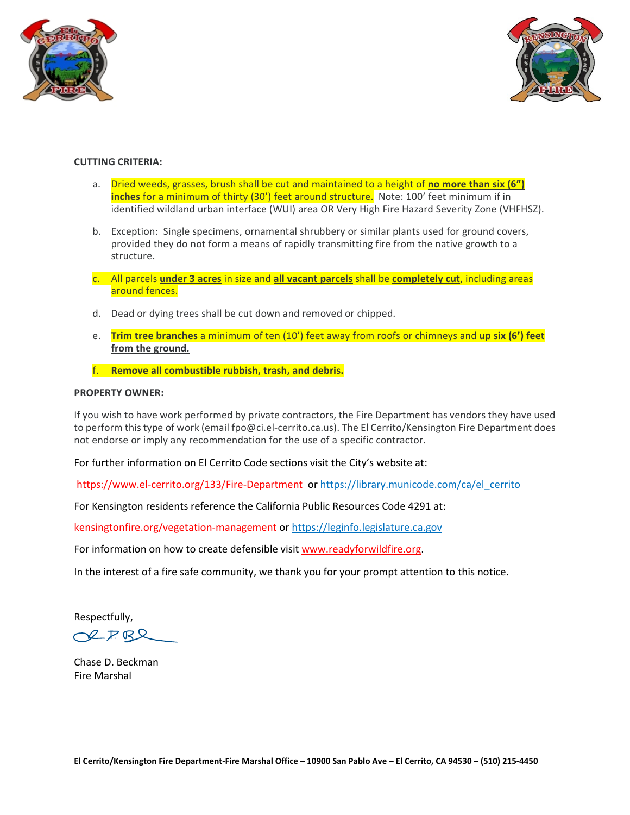



#### **CUTTING CRITERIA:**

- a. Dried weeds, grasses, brush shall be cut and maintained to a height of **no more than six (6") inches** for a minimum of thirty (30') feet around structure. Note: 100' feet minimum if in identified wildland urban interface (WUI) area OR Very High Fire Hazard Severity Zone (VHFHSZ).
- b. Exception: Single specimens, ornamental shrubbery or similar plants used for ground covers, provided they do not form a means of rapidly transmitting fire from the native growth to a structure.
- c. All parcels **under 3 acres** in size and **all vacant parcels** shall be **completely cut**, including areas around fences.
- d. Dead or dying trees shall be cut down and removed or chipped.
- e. **Trim tree branches** a minimum of ten (10') feet away from roofs or chimneys and **up six (6') feet from the ground.**
- f. **Remove all combustible rubbish, trash, and debris.**

#### **PROPERTY OWNER:**

If you wish to have work performed by private contractors, the Fire Department has vendors they have used to perform this type of work (email fpo@ci.el-cerrito.ca.us). The El Cerrito/Kensington Fire Department does not endorse or imply any recommendation for the use of a specific contractor.

For further information on El Cerrito Code sections visit the City's website at:

<https://www.el-cerrito.org/133/Fire-Department> or [https://library.municode.com/ca/el\\_cerrito](https://library.municode.com/ca/el_cerrito)

For Kensington residents reference the California Public Resources Code 4291 at:

kensingtonfire.org/vegetation-management or [https://leginfo.legislature.ca.gov](https://leginfo.legislature.ca.gov/)

For information on how to create defensible visit [www.readyforwildfire.org.](http://www.readyforwildfire.org/)

In the interest of a fire safe community, we thank you for your prompt attention to this notice.

Respectfully,

OLFRR

Chase D. Beckman Fire Marshal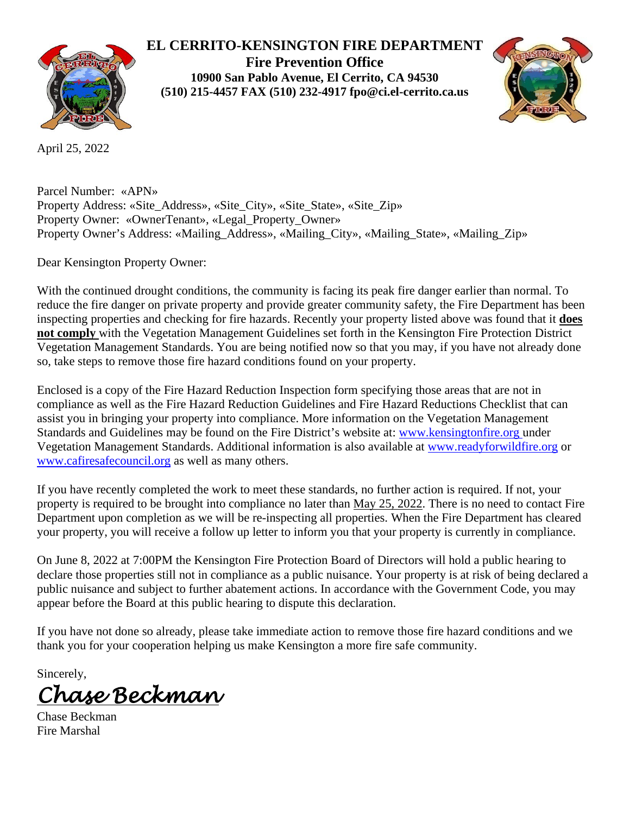

## **EL CERRITO-KENSINGTON FIRE DEPARTMENT**

**Fire Prevention Office 10900 San Pablo Avenue, El Cerrito, CA 94530 (510) 215-4457 FAX (510) 232-4917 fpo@ci.el-cerrito.ca.us**



April 25, 2022

Parcel Number: «APN» Property Address: «Site\_Address», «Site\_City», «Site\_State», «Site\_Zip» Property Owner: «OwnerTenant», «Legal\_Property\_Owner» Property Owner's Address: «Mailing\_Address», «Mailing\_City», «Mailing\_State», «Mailing\_Zip»

Dear Kensington Property Owner:

With the continued drought conditions, the community is facing its peak fire danger earlier than normal. To reduce the fire danger on private property and provide greater community safety, the Fire Department has been inspecting properties and checking for fire hazards. Recently your property listed above was found that it **does not comply** with the Vegetation Management Guidelines set forth in the Kensington Fire Protection District Vegetation Management Standards. You are being notified now so that you may, if you have not already done so, take steps to remove those fire hazard conditions found on your property.

Enclosed is a copy of the Fire Hazard Reduction Inspection form specifying those areas that are not in compliance as well as the Fire Hazard Reduction Guidelines and Fire Hazard Reductions Checklist that can assist you in bringing your property into compliance. More information on the Vegetation Management Standards and Guidelines may be found on the Fire District's website at: [www.kensingtonfire.org](http://www.kensingtonfire.org/) under Vegetation Management Standards. Additional information is also available at [www.readyforwildfire.org](http://www.readyforwildfire.org/) or [www.cafiresafecouncil.org](http://www.cafiresafecouncil.org/) as well as many others.

If you have recently completed the work to meet these standards, no further action is required. If not, your property is required to be brought into compliance no later than May 25, 2022. There is no need to contact Fire Department upon completion as we will be re-inspecting all properties. When the Fire Department has cleared your property, you will receive a follow up letter to inform you that your property is currently in compliance.

On June 8, 2022 at 7:00PM the Kensington Fire Protection Board of Directors will hold a public hearing to declare those properties still not in compliance as a public nuisance. Your property is at risk of being declared a public nuisance and subject to further abatement actions. In accordance with the Government Code, you may appear before the Board at this public hearing to dispute this declaration.

If you have not done so already, please take immediate action to remove those fire hazard conditions and we thank you for your cooperation helping us make Kensington a more fire safe community.

Sincerely,

*Chase Beckman* 

Chase Beckman Fire Marshal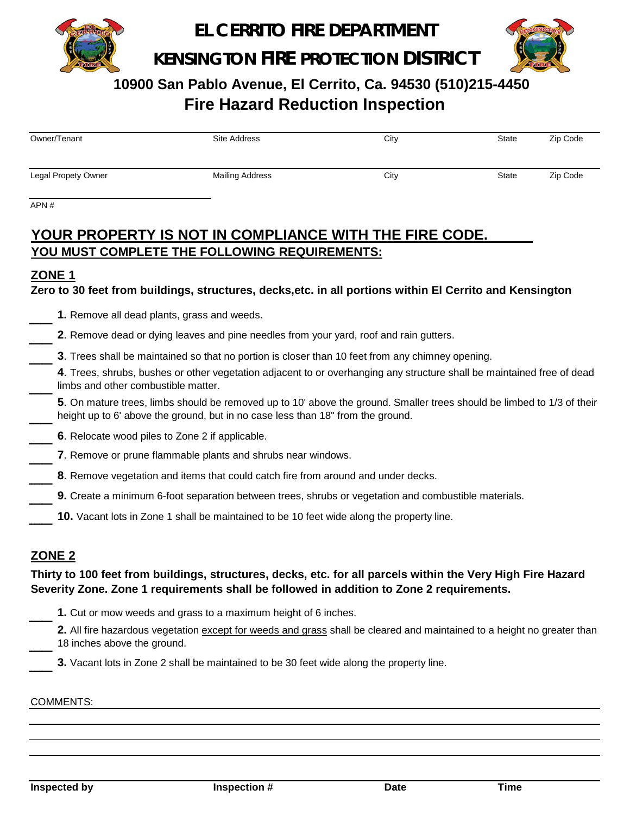

**EL CERRITO FIRE DEPARTMENT**

**KENSINGTON FIRE PROTECTION DISTRICT**



 **10900 San Pablo Avenue, El Cerrito, Ca. 94530 (510)215-4450 Fire Hazard Reduction Inspection**

| Owner/Tenant               | Site Address    | City | <b>State</b> | Zip Code |
|----------------------------|-----------------|------|--------------|----------|
|                            |                 |      |              |          |
| <b>Legal Propety Owner</b> | Mailing Address | City | State        | Zip Code |

APN #

# **YOUR PROPERTY IS NOT IN COMPLIANCE WITH THE FIRE CODE. YOU MUST COMPLETE THE FOLLOWING REQUIREMENTS:**

### **ZONE 1**

**Zero to 30 feet from buildings, structures, decks,etc. in all portions within El Cerrito and Kensington**

- 1. Remove all dead plants, grass and weeds.
- 2. Remove dead or dying leaves and pine needles from your yard, roof and rain gutters.
- $\overline{\phantom{a}}$ **3**. Trees shall be maintained so that no portion is closer than 10 feet from any chimney opening.
- $\overline{\phantom{a}}$ **4**. Trees, shrubs, bushes or other vegetation adjacent to or overhanging any structure shall be maintained free of dead limbs and other combustible matter.
- $\overline{\phantom{a}}$ **5**. On mature trees, limbs should be removed up to 10' above the ground. Smaller trees should be limbed to 1/3 of their height up to 6' above the ground, but in no case less than 18" from the ground.
- $\overline{\phantom{a}}$ **6**. Relocate wood piles to Zone 2 if applicable.
	- **7**. Remove or prune flammable plants and shrubs near windows.
- $\overline{\phantom{a}}$ **8**. Remove vegetation and items that could catch fire from around and under decks.
- $\overline{\phantom{a}}$ **9.** Create a minimum 6-foot separation between trees, shrubs or vegetation and combustible materials.
- $\overline{\phantom{a}}$ **10.** Vacant lots in Zone 1 shall be maintained to be 10 feet wide along the property line.

### **ZONE 2**

### **Thirty to 100 feet from buildings, structures, decks, etc. for all parcels within the Very High Fire Hazard Severity Zone. Zone 1 requirements shall be followed in addition to Zone 2 requirements.**

- 1. Cut or mow weeds and grass to a maximum height of 6 inches.
- $\overline{\phantom{a}}$ 2. All fire hazardous vegetation except for weeds and grass shall be cleared and maintained to a height no greater than 18 inches above the ground.
	- **3.** Vacant lots in Zone 2 shall be maintained to be 30 feet wide along the property line.

#### COMMENTS: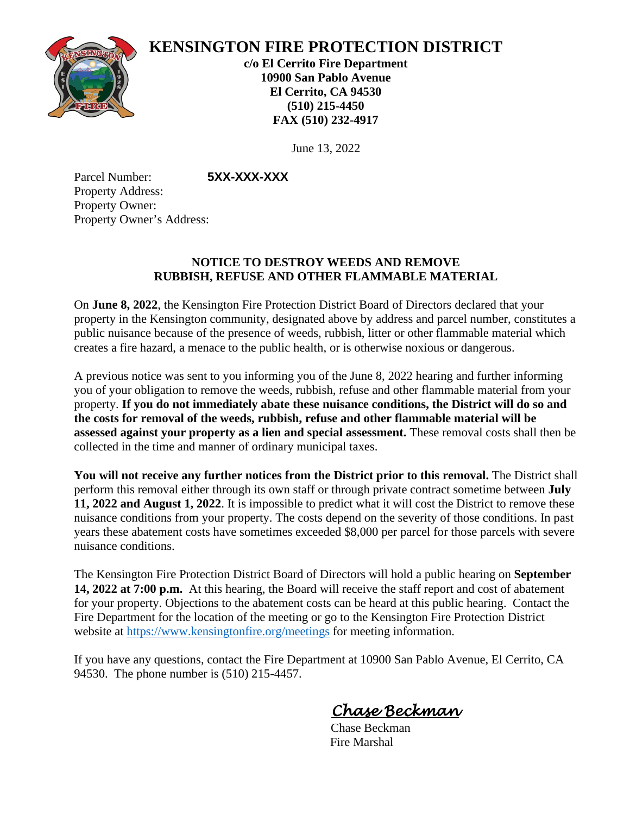

# **KENSINGTON FIRE PROTECTION DISTRICT**

**c/o El Cerrito Fire Department 10900 San Pablo Avenue El Cerrito, CA 94530 (510) 215-4450 FAX (510) 232-4917**

June 13, 2022

Parcel Number: **5XX-XXX-XXX** Property Address: Property Owner: Property Owner's Address:

## **NOTICE TO DESTROY WEEDS AND REMOVE RUBBISH, REFUSE AND OTHER FLAMMABLE MATERIAL**

On **June 8, 2022**, the Kensington Fire Protection District Board of Directors declared that your property in the Kensington community, designated above by address and parcel number, constitutes a public nuisance because of the presence of weeds, rubbish, litter or other flammable material which creates a fire hazard, a menace to the public health, or is otherwise noxious or dangerous.

A previous notice was sent to you informing you of the June 8, 2022 hearing and further informing you of your obligation to remove the weeds, rubbish, refuse and other flammable material from your property. **If you do not immediately abate these nuisance conditions, the District will do so and the costs for removal of the weeds, rubbish, refuse and other flammable material will be assessed against your property as a lien and special assessment.** These removal costs shall then be collected in the time and manner of ordinary municipal taxes.

**You will not receive any further notices from the District prior to this removal.** The District shall perform this removal either through its own staff or through private contract sometime between **July 11, 2022 and August 1, 2022**. It is impossible to predict what it will cost the District to remove these nuisance conditions from your property. The costs depend on the severity of those conditions. In past years these abatement costs have sometimes exceeded \$8,000 per parcel for those parcels with severe nuisance conditions.

The Kensington Fire Protection District Board of Directors will hold a public hearing on **September 14, 2022 at 7:00 p.m.** At this hearing, the Board will receive the staff report and cost of abatement for your property. Objections to the abatement costs can be heard at this public hearing. Contact the Fire Department for the location of the meeting or go to the Kensington Fire Protection District website at<https://www.kensingtonfire.org/meetings> for meeting information.

If you have any questions, contact the Fire Department at 10900 San Pablo Avenue, El Cerrito, CA 94530. The phone number is (510) 215-4457.

 *Chase Beckman*

 Chase Beckman Fire Marshal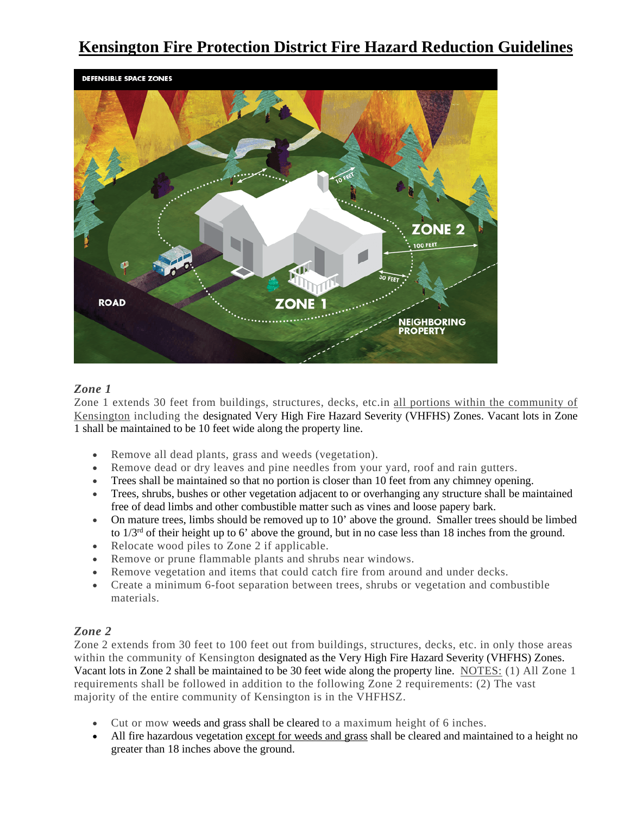# **Kensington Fire Protection District Fire Hazard Reduction Guidelines**



#### *Zone 1*

Zone 1 extends 30 feet from buildings, structures, decks, etc.in all portions within the community of Kensington including the designated Very High Fire Hazard Severity (VHFHS) Zones. Vacant lots in Zone 1 shall be maintained to be 10 feet wide along the property line.

- Remove all dead plants, grass and weeds (vegetation).
- Remove dead or dry leaves and pine needles from your yard, roof and rain gutters.
- Trees shall be maintained so that no portion is closer than 10 feet from any chimney opening.
- Trees, shrubs, bushes or other vegetation adjacent to or overhanging any structure shall be maintained free of dead limbs and other combustible matter such as vines and loose papery bark.
- On mature trees, limbs should be removed up to 10' above the ground. Smaller trees should be limbed to  $1/3<sup>rd</sup>$  of their height up to 6' above the ground, but in no case less than 18 inches from the ground.
- Relocate wood piles to Zone 2 if applicable.
- Remove or prune flammable plants and shrubs near windows.
- Remove vegetation and items that could catch fire from around and under decks.
- Create a minimum 6-foot separation between trees, shrubs or vegetation and combustible materials.

#### *Zone 2*

Zone 2 extends from 30 feet to 100 feet out from buildings, structures, decks, etc. in only those areas within the community of Kensington designated as the Very High Fire Hazard Severity (VHFHS) Zones. Vacant lots in Zone 2 shall be maintained to be 30 feet wide along the property line. NOTES: (1) All Zone 1 requirements shall be followed in addition to the following Zone 2 requirements: (2) The vast majority of the entire community of Kensington is in the VHFHSZ.

- Cut or mow weeds and grass shall be cleared to a maximum height of 6 inches.
- All fire hazardous vegetation except for weeds and grass shall be cleared and maintained to a height no greater than 18 inches above the ground.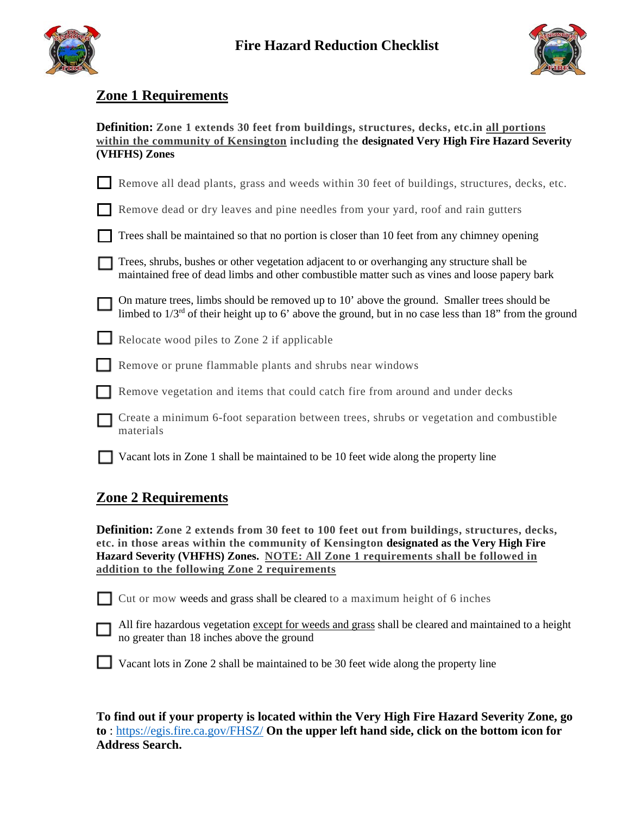



# **Zone 1 Requirements**

| <b>Definition:</b> Zone 1 extends 30 feet from buildings, structures, decks, etc.in all portions |
|--------------------------------------------------------------------------------------------------|
| within the community of Kensington including the designated Very High Fire Hazard Severity       |
| (VHFHS) Zones                                                                                    |

|  | Remove all dead plants, grass and weeds within 30 feet of buildings, structures, decks, etc. |  |  |  |  |  |  |  |  |  |  |  |  |
|--|----------------------------------------------------------------------------------------------|--|--|--|--|--|--|--|--|--|--|--|--|
|--|----------------------------------------------------------------------------------------------|--|--|--|--|--|--|--|--|--|--|--|--|

|  |  |  | Remove dead or dry leaves and pine needles from your yard, roof and rain gutters |  |  |  |  |  |  |  |  |  |  |  |
|--|--|--|----------------------------------------------------------------------------------|--|--|--|--|--|--|--|--|--|--|--|
|--|--|--|----------------------------------------------------------------------------------|--|--|--|--|--|--|--|--|--|--|--|

|  | $\Box$ Trees shall be maintained so that no portion is closer than 10 feet from any chimney opening |  |  |
|--|-----------------------------------------------------------------------------------------------------|--|--|
|  |                                                                                                     |  |  |

| Trees, shrubs, bushes or other vegetation adjacent to or overhanging any structure shall be    |
|------------------------------------------------------------------------------------------------|
| maintained free of dead limbs and other combustible matter such as vines and loose papery bark |

| $\Box$ On mature trees, limbs should be removed up to 10' above the ground. Smaller trees should be          |  |  |  |  |
|--------------------------------------------------------------------------------------------------------------|--|--|--|--|
| limbed to $1/3^{rd}$ of their height up to 6' above the ground, but in no case less than 18" from the ground |  |  |  |  |

Relocate wood piles to Zone 2 if applicable

- Remove or prune flammable plants and shrubs near windows
	- **Remove vegetation and items that could catch fire from around and under decks** 
		- Create a minimum 6-foot separation between trees, shrubs or vegetation and combustible materials
	- Vacant lots in Zone 1 shall be maintained to be 10 feet wide along the property line

## **Zone 2 Requirements**

**Definition: Zone 2 extends from 30 feet to 100 feet out from buildings, structures, decks, etc. in those areas within the community of Kensington designated as the Very High Fire Hazard Severity (VHFHS) Zones. NOTE: All Zone 1 requirements shall be followed in addition to the following Zone 2 requirements**

Cut or mow weeds and grass shall be cleared to a maximum height of 6 inches



All fire hazardous vegetation except for weeds and grass shall be cleared and maintained to a height no greater than 18 inches above the ground



**To find out if your property is located within the Very High Fire Hazard Severity Zone, go to** :<https://egis.fire.ca.gov/FHSZ/> **On the upper left hand side, click on the bottom icon for Address Search.**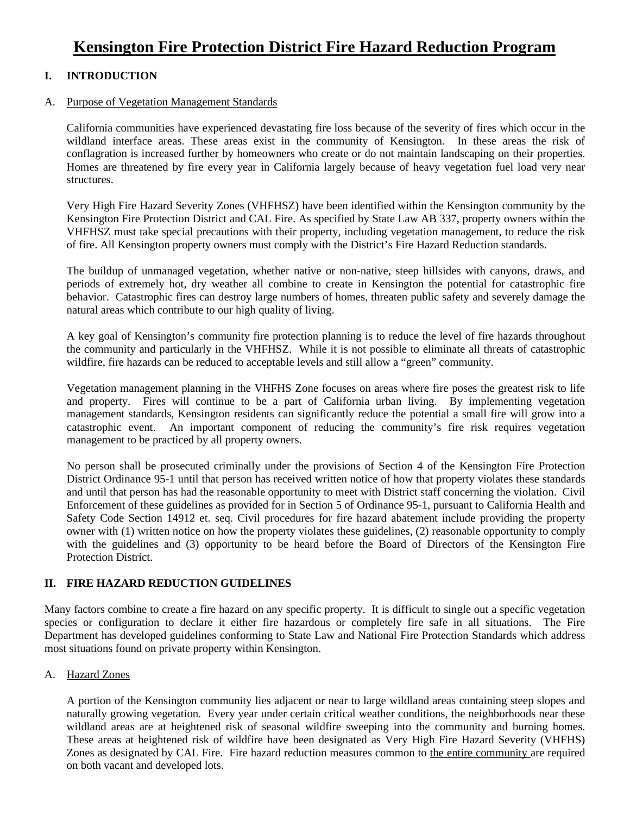# **Kensington Fire Protection District Fire Hazard Reduction Program**

#### **I. INTRODUCTION**

#### A. Purpose of Vegetation Management Standards

California communities have experienced devastating fire loss because of the severity of fires which occur in the wildland interface areas. These areas exist in the community of Kensington. In these areas the risk of conflagration is increased further by homeowners who create or do not maintain landscaping on their properties. Homes are threatened by fire every year in California largely because of heavy vegetation fuel load very near structures.

Very High Fire Hazard Severity Zones (VHFHSZ) have been identified within the Kensington community by the Kensington Fire Protection District and CAL Fire. As specified by State Law AB 337, property owners within the VHFHSZ must take special precautions with their property, including vegetation management, to reduce the risk of fire. All Kensington property owners must comply with the District's Fire Hazard Reduction standards.

The buildup of unmanaged vegetation, whether native or non-native, steep hillsides with canyons, draws, and periods of extremely hot, dry weather all combine to create in Kensington the potential for catastrophic fire behavior. Catastrophic fires can destroy large numbers of homes, threaten public safety and severely damage the natural areas which contribute to our high quality of living.

A key goal of Kensington's community fire protection planning is to reduce the level of fire hazards throughout the community and particularly in the VHFHSZ. While it is not possible to eliminate all threats of catastrophic wildfire, fire hazards can be reduced to acceptable levels and still allow a "green" community.

Vegetation management planning in the VHFHS Zone focuses on areas where fire poses the greatest risk to life and property. Fires will continue to be a part of California urban living. By implementing vegetation management standards, Kensington residents can significantly reduce the potential a small fire will grow into a catastrophic event. An important component of reducing the community's fire risk requires vegetation management to be practiced by all property owners.

No person shall be prosecuted criminally under the provisions of Section 4 of the Kensington Fire Protection District Ordinance 95-1 until that person has received written notice of how that property violates these standards and until that person has had the reasonable opportunity to meet with District staff concerning the violation. Civil Enforcement of these guidelines as provided for in Section 5 of Ordinance 95-1, pursuant to California Health and Safety Code Section 14912 et. seq. Civil procedures for fire hazard abatement include providing the property owner with (1) written notice on how the property violates these guidelines, (2) reasonable opportunity to comply with the guidelines and (3) opportunity to be heard before the Board of Directors of the Kensington Fire Protection District.

#### **II. FIRE HAZARD REDUCTION GUIDELINES**

Many factors combine to create a fire hazard on any specific property. It is difficult to single out a specific vegetation species or configuration to declare it either fire hazardous or completely fire safe in all situations. The Fire Department has developed guidelines conforming to State Law and National Fire Protection Standards which address most situations found on private property within Kensington.

#### A. Hazard Zones

A portion of the Kensington community lies adjacent or near to large wildland areas containing steep slopes and naturally growing vegetation. Every year under certain critical weather conditions, the neighborhoods near these wildland areas are at heightened risk of seasonal wildfire sweeping into the community and burning homes. These areas at heightened risk of wildfire have been designated as Very High Fire Hazard Severity (VHFHS) Zones as designated by CAL Fire. Fire hazard reduction measures common to the entire community are required on both vacant and developed lots.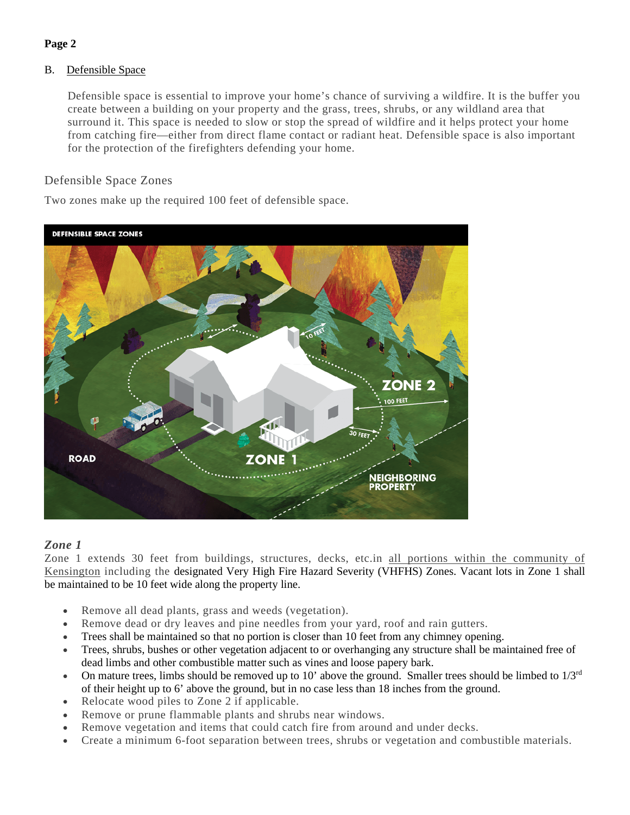#### **Page 2**

#### B. Defensible Space

Defensible space is essential to improve your home's chance of surviving a wildfire. It is the buffer you create between a building on your property and the grass, trees, shrubs, or any wildland area that surround it. This space is needed to slow or stop the spread of wildfire and it helps protect your home from catching fire—either from direct flame contact or radiant heat. Defensible space is also important for the protection of the firefighters defending your home.

#### Defensible Space Zones

Two zones make up the required 100 feet of defensible space.



#### *Zone 1*

Zone 1 extends 30 feet from buildings, structures, decks, etc.in all portions within the community of Kensington including the designated Very High Fire Hazard Severity (VHFHS) Zones. Vacant lots in Zone 1 shall be maintained to be 10 feet wide along the property line.

- Remove all dead plants, grass and weeds (vegetation).
- Remove dead or dry leaves and pine needles from your yard, roof and rain gutters.
- Trees shall be maintained so that no portion is closer than 10 feet from any chimney opening.
- Trees, shrubs, bushes or other vegetation adjacent to or overhanging any structure shall be maintained free of dead limbs and other combustible matter such as vines and loose papery bark.
- On mature trees, limbs should be removed up to 10' above the ground. Smaller trees should be limbed to  $1/3<sup>rd</sup>$ of their height up to 6' above the ground, but in no case less than 18 inches from the ground.
- Relocate wood piles to Zone 2 if applicable.
- Remove or prune flammable plants and shrubs near windows.
- Remove vegetation and items that could catch fire from around and under decks.
- Create a minimum 6-foot separation between trees, shrubs or vegetation and combustible materials.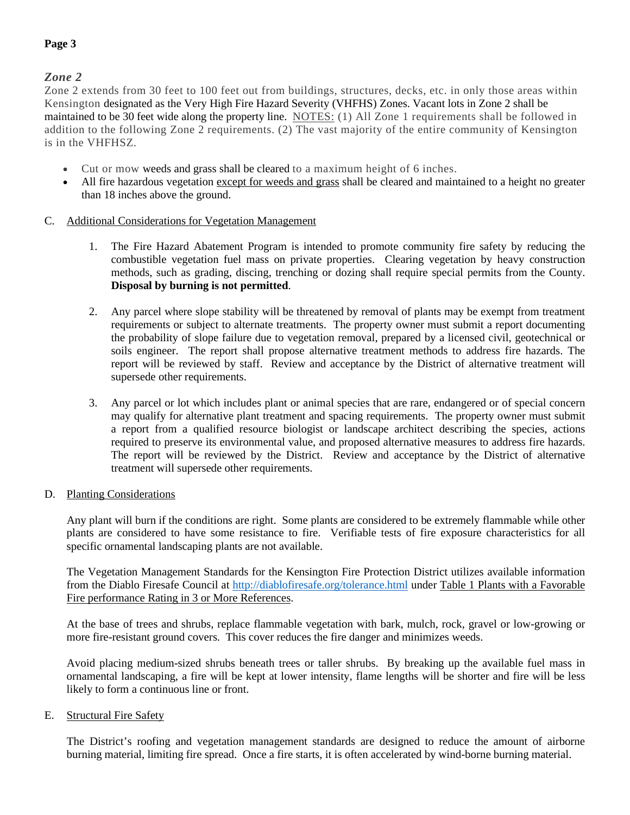*Zone 2*

Zone 2 extends from 30 feet to 100 feet out from buildings, structures, decks, etc. in only those areas within Kensington designated as the Very High Fire Hazard Severity (VHFHS) Zones. Vacant lots in Zone 2 shall be maintained to be 30 feet wide along the property line. NOTES: (1) All Zone 1 requirements shall be followed in addition to the following Zone 2 requirements. (2) The vast majority of the entire community of Kensington is in the VHFHSZ.

- Cut or mow weeds and grass shall be cleared to a maximum height of 6 inches.
- All fire hazardous vegetation except for weeds and grass shall be cleared and maintained to a height no greater than 18 inches above the ground.
- C. Additional Considerations for Vegetation Management
	- 1. The Fire Hazard Abatement Program is intended to promote community fire safety by reducing the combustible vegetation fuel mass on private properties. Clearing vegetation by heavy construction methods, such as grading, discing, trenching or dozing shall require special permits from the County. **Disposal by burning is not permitted**.
	- 2. Any parcel where slope stability will be threatened by removal of plants may be exempt from treatment requirements or subject to alternate treatments. The property owner must submit a report documenting the probability of slope failure due to vegetation removal, prepared by a licensed civil, geotechnical or soils engineer. The report shall propose alternative treatment methods to address fire hazards. The report will be reviewed by staff. Review and acceptance by the District of alternative treatment will supersede other requirements.
	- 3. Any parcel or lot which includes plant or animal species that are rare, endangered or of special concern may qualify for alternative plant treatment and spacing requirements. The property owner must submit a report from a qualified resource biologist or landscape architect describing the species, actions required to preserve its environmental value, and proposed alternative measures to address fire hazards. The report will be reviewed by the District. Review and acceptance by the District of alternative treatment will supersede other requirements.
- D. Planting Considerations

Any plant will burn if the conditions are right. Some plants are considered to be extremely flammable while other plants are considered to have some resistance to fire. Verifiable tests of fire exposure characteristics for all specific ornamental landscaping plants are not available.

The Vegetation Management Standards for the Kensington Fire Protection District utilizes available information from the Diablo Firesafe Council at <http://diablofiresafe.org/tolerance.html> under Table 1 Plants with a Favorable Fire performance Rating in 3 or More References.

At the base of trees and shrubs, replace flammable vegetation with bark, mulch, rock, gravel or low-growing or more fire-resistant ground covers. This cover reduces the fire danger and minimizes weeds.

Avoid placing medium-sized shrubs beneath trees or taller shrubs. By breaking up the available fuel mass in ornamental landscaping, a fire will be kept at lower intensity, flame lengths will be shorter and fire will be less likely to form a continuous line or front.

E. Structural Fire Safety

The District's roofing and vegetation management standards are designed to reduce the amount of airborne burning material, limiting fire spread. Once a fire starts, it is often accelerated by wind-borne burning material.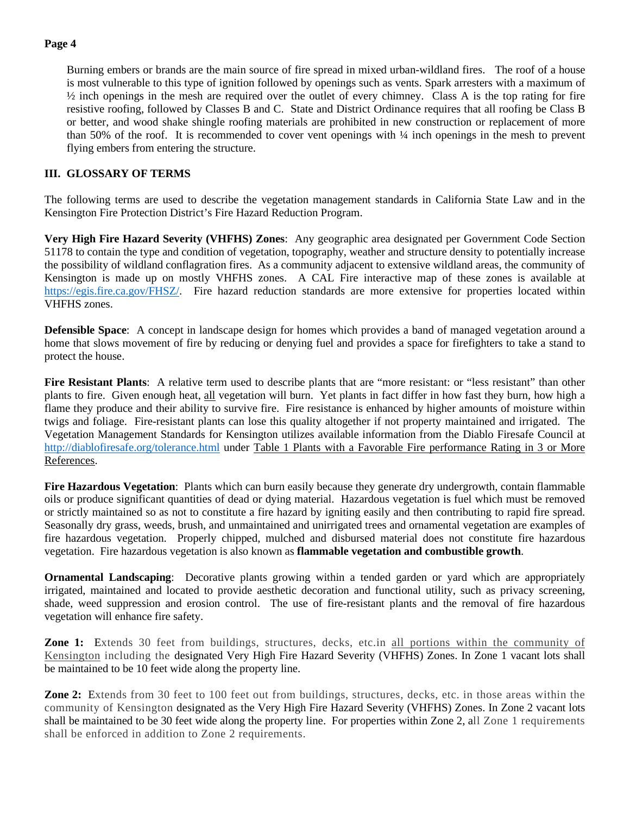#### **Page 4**

Burning embers or brands are the main source of fire spread in mixed urban-wildland fires. The roof of a house is most vulnerable to this type of ignition followed by openings such as vents. Spark arresters with a maximum of ½ inch openings in the mesh are required over the outlet of every chimney. Class A is the top rating for fire resistive roofing, followed by Classes B and C. State and District Ordinance requires that all roofing be Class B or better, and wood shake shingle roofing materials are prohibited in new construction or replacement of more than 50% of the roof. It is recommended to cover vent openings with ¼ inch openings in the mesh to prevent flying embers from entering the structure.

#### **III. GLOSSARY OF TERMS**

The following terms are used to describe the vegetation management standards in California State Law and in the Kensington Fire Protection District's Fire Hazard Reduction Program.

**Very High Fire Hazard Severity (VHFHS) Zones**: Any geographic area designated per Government Code Section 51178 to contain the type and condition of vegetation, topography, weather and structure density to potentially increase the possibility of wildland conflagration fires. As a community adjacent to extensive wildland areas, the community of Kensington is made up on mostly VHFHS zones. A CAL Fire interactive map of these zones is available at [https://egis.fire.ca.gov/FHSZ/.](https://egis.fire.ca.gov/FHSZ/) Fire hazard reduction standards are more extensive for properties located within VHFHS zones.

**Defensible Space**: A concept in landscape design for homes which provides a band of managed vegetation around a home that slows movement of fire by reducing or denying fuel and provides a space for firefighters to take a stand to protect the house.

**Fire Resistant Plants**: A relative term used to describe plants that are "more resistant: or "less resistant" than other plants to fire. Given enough heat, all vegetation will burn. Yet plants in fact differ in how fast they burn, how high a flame they produce and their ability to survive fire. Fire resistance is enhanced by higher amounts of moisture within twigs and foliage. Fire-resistant plants can lose this quality altogether if not property maintained and irrigated. The Vegetation Management Standards for Kensington utilizes available information from the Diablo Firesafe Council at <http://diablofiresafe.org/tolerance.html> under Table 1 Plants with a Favorable Fire performance Rating in 3 or More References.

**Fire Hazardous Vegetation**: Plants which can burn easily because they generate dry undergrowth, contain flammable oils or produce significant quantities of dead or dying material. Hazardous vegetation is fuel which must be removed or strictly maintained so as not to constitute a fire hazard by igniting easily and then contributing to rapid fire spread. Seasonally dry grass, weeds, brush, and unmaintained and unirrigated trees and ornamental vegetation are examples of fire hazardous vegetation. Properly chipped, mulched and disbursed material does not constitute fire hazardous vegetation. Fire hazardous vegetation is also known as **flammable vegetation and combustible growth**.

**Ornamental Landscaping**: Decorative plants growing within a tended garden or yard which are appropriately irrigated, maintained and located to provide aesthetic decoration and functional utility, such as privacy screening, shade, weed suppression and erosion control. The use of fire-resistant plants and the removal of fire hazardous vegetation will enhance fire safety.

**Zone 1:** Extends 30 feet from buildings, structures, decks, etc.in all portions within the community of Kensington including the designated Very High Fire Hazard Severity (VHFHS) Zones. In Zone 1 vacant lots shall be maintained to be 10 feet wide along the property line.

**Zone 2:** Extends from 30 feet to 100 feet out from buildings, structures, decks, etc. in those areas within the community of Kensington designated as the Very High Fire Hazard Severity (VHFHS) Zones. In Zone 2 vacant lots shall be maintained to be 30 feet wide along the property line. For properties within Zone 2, all Zone 1 requirements shall be enforced in addition to Zone 2 requirements.